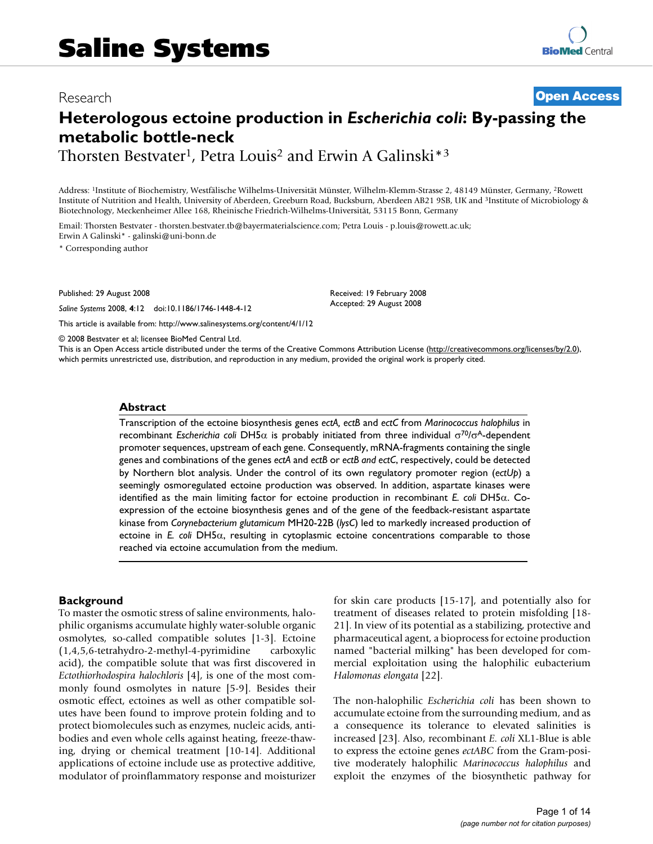## Research **[Open Access](http://www.biomedcentral.com/info/about/charter/)**

# **Heterologous ectoine production in** *Escherichia coli***: By-passing the metabolic bottle-neck**

Thorsten Bestvater<sup>1</sup>, Petra Louis<sup>2</sup> and Erwin A Galinski<sup>\*3</sup>

Address: 1Institute of Biochemistry, Westfälische Wilhelms-Universität Münster, Wilhelm-Klemm-Strasse 2, 48149 Münster, Germany, 2Rowett Institute of Nutrition and Health, University of Aberdeen, Greeburn Road, Bucksburn, Aberdeen AB21 9SB, UK and 3Institute of Microbiology & Biotechnology, Meckenheimer Allee 168, Rheinische Friedrich-Wilhelms-Universität, 53115 Bonn, Germany

Email: Thorsten Bestvater - thorsten.bestvater.tb@bayermaterialscience.com; Petra Louis - p.louis@rowett.ac.uk; Erwin A Galinski\* - galinski@uni-bonn.de

\* Corresponding author

Published: 29 August 2008

*Saline Systems* 2008, **4**:12 doi:10.1186/1746-1448-4-12

[This article is available from: http://www.salinesystems.org/content/4/1/12](http://www.salinesystems.org/content/4/1/12)

Received: 19 February 2008 Accepted: 29 August 2008

© 2008 Bestvater et al; licensee BioMed Central Ltd.

This is an Open Access article distributed under the terms of the Creative Commons Attribution License [\(http://creativecommons.org/licenses/by/2.0\)](http://creativecommons.org/licenses/by/2.0), which permits unrestricted use, distribution, and reproduction in any medium, provided the original work is properly cited.

#### **Abstract**

Transcription of the ectoine biosynthesis genes *ectA, ectB* and *ectC* from *Marinococcus halophilus* in recombinant *Escherichia coli* DH5α is probably initiated from three individual σ70/σA-dependent promoter sequences, upstream of each gene. Consequently, mRNA-fragments containing the single genes and combinations of the genes *ectA* and *ectB* or *ectB and ectC*, respectively, could be detected by Northern blot analysis. Under the control of its own regulatory promoter region (*ectUp*) a seemingly osmoregulated ectoine production was observed. In addition, aspartate kinases were identified as the main limiting factor for ectoine production in recombinant *E. coli* DH5α. Coexpression of the ectoine biosynthesis genes and of the gene of the feedback-resistant aspartate kinase from *Corynebacterium glutamicum* MH20-22B (*lysC*) led to markedly increased production of ectoine in *E. coli* DH5α, resulting in cytoplasmic ectoine concentrations comparable to those reached via ectoine accumulation from the medium.

#### **Background**

To master the osmotic stress of saline environments, halophilic organisms accumulate highly water-soluble organic osmolytes, so-called compatible solutes [1-3]. Ectoine (1,4,5,6-tetrahydro-2-methyl-4-pyrimidine carboxylic acid), the compatible solute that was first discovered in *Ectothiorhodospira halochloris* [4], is one of the most commonly found osmolytes in nature [5-9]. Besides their osmotic effect, ectoines as well as other compatible solutes have been found to improve protein folding and to protect biomolecules such as enzymes, nucleic acids, antibodies and even whole cells against heating, freeze-thawing, drying or chemical treatment [10-14]. Additional applications of ectoine include use as protective additive, modulator of proinflammatory response and moisturizer for skin care products [15-17], and potentially also for treatment of diseases related to protein misfolding [18- 21]. In view of its potential as a stabilizing, protective and pharmaceutical agent, a bioprocess for ectoine production named "bacterial milking" has been developed for commercial exploitation using the halophilic eubacterium *Halomonas elongata* [22].

The non-halophilic *Escherichia coli* has been shown to accumulate ectoine from the surrounding medium, and as a consequence its tolerance to elevated salinities is increased [23]. Also, recombinant *E. coli* XL1-Blue is able to express the ectoine genes *ectABC* from the Gram-positive moderately halophilic *Marinococcus halophilus* and exploit the enzymes of the biosynthetic pathway for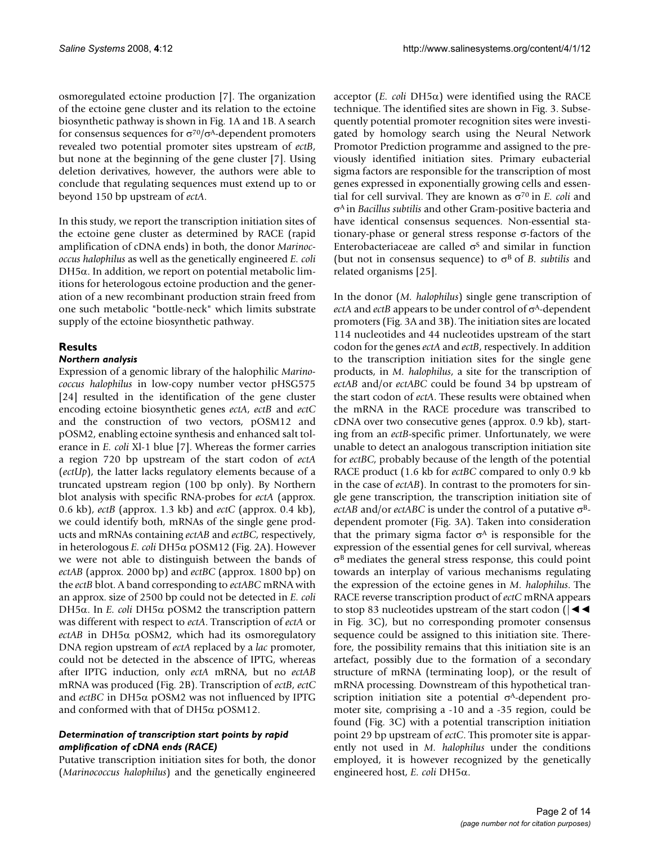osmoregulated ectoine production [7]. The organization of the ectoine gene cluster and its relation to the ectoine biosynthetic pathway is shown in Fig. 1A and 1B. A search for consensus sequences for σ70/σA-dependent promoters revealed two potential promoter sites upstream of *ectB*, but none at the beginning of the gene cluster [7]. Using deletion derivatives, however, the authors were able to conclude that regulating sequences must extend up to or beyond 150 bp upstream of *ectA*.

In this study, we report the transcription initiation sites of the ectoine gene cluster as determined by RACE (rapid amplification of cDNA ends) in both, the donor *Marinococcus halophilus* as well as the genetically engineered *E. coli* DH5 $α$ . In addition, we report on potential metabolic limitions for heterologous ectoine production and the generation of a new recombinant production strain freed from one such metabolic "bottle-neck" which limits substrate supply of the ectoine biosynthetic pathway.

## **Results**

## *Northern analysis*

Expression of a genomic library of the halophilic *Marinococcus halophilus* in low-copy number vector pHSG575 [[24](#page-13-0)] resulted in the identification of the gene cluster encoding ectoine biosynthetic genes *ectA*, *ectB* and *ectC* and the construction of two vectors, pOSM12 and pOSM2, enabling ectoine synthesis and enhanced salt tolerance in *E. coli* Xl-1 blue [7]. Whereas the former carries a region 720 bp upstream of the start codon of *ectA* (*ectUp*), the latter lacks regulatory elements because of a truncated upstream region (100 bp only). By Northern blot analysis with specific RNA-probes for *ectA* (approx. 0.6 kb), *ectB* (approx. 1.3 kb) and *ectC* (approx. 0.4 kb), we could identify both, mRNAs of the single gene products and mRNAs containing *ectAB* and *ectBC*, respectively, in heterologous *E. coli* DH5α pOSM12 (Fig. 2A). However we were not able to distinguish between the bands of *ectAB* (approx. 2000 bp) and *ectBC* (approx. 1800 bp) on the *ectB* blot. A band corresponding to *ectABC* mRNA with an approx. size of 2500 bp could not be detected in *E. coli* DH5α. In *E. coli* DH5α pOSM2 the transcription pattern was different with respect to *ectA*. Transcription of *ectA* or *ectAB* in DH5α pOSM2, which had its osmoregulatory DNA region upstream of *ectA* replaced by a *lac* promoter, could not be detected in the abscence of IPTG, whereas after IPTG induction, only *ectA* mRNA, but no *ectAB* mRNA was produced (Fig. 2B). Transcription of *ectB*, *ectC* and *ectBC* in DH5α pOSM2 was not influenced by IPTG and conformed with that of DH5α pOSM12.

## *Determination of transcription start points by rapid amplification of cDNA ends (RACE)*

Putative transcription initiation sites for both, the donor (*Marinococcus halophilus*) and the genetically engineered

acceptor (*E. coli* DH5α) were identified using the RACE technique. The identified sites are shown in Fig. 3. Subsequently potential promoter recognition sites were investigated by homology search using the Neural Network Promotor Prediction programme and assigned to the previously identified initiation sites. Primary eubacterial sigma factors are responsible for the transcription of most genes expressed in exponentially growing cells and essential for cell survival. They are known as σ70 in *E. coli* and σA in *Bacillus subtilis* and other Gram-positive bacteria and have identical consensus sequences. Non-essential stationary-phase or general stress response  $\sigma$ -factors of the Enterobacteriaceae are called  $\sigma$ <sup>s</sup> and similar in function (but not in consensus sequence) to  $\sigma^B$  of *B. subtilis* and related organisms [25].

In the donor (*M. halophilus*) single gene transcription of *ectA* and *ectB* appears to be under control of σA-dependent promoters (Fig. 3A and 3B). The initiation sites are located 114 nucleotides and 44 nucleotides upstream of the start codon for the genes *ectA* and *ectB*, respectively. In addition to the transcription initiation sites for the single gene products, in *M. halophilus*, a site for the transcription of *ectAB* and/or *ectABC* could be found 34 bp upstream of the start codon of *ectA*. These results were obtained when the mRNA in the RACE procedure was transcribed to cDNA over two consecutive genes (approx. 0.9 kb), starting from an *ectB*-specific primer. Unfortunately, we were unable to detect an analogous transcription initiation site for *ectBC*, probably because of the length of the potential RACE product (1.6 kb for *ectBC* compared to only 0.9 kb in the case of *ectAB*). In contrast to the promoters for single gene transcription, the transcription initiation site of *ectAB* and/or *ectABC* is under the control of a putative σBdependent promoter (Fig. 3A). Taken into consideration that the primary sigma factor  $\sigma$ <sup>A</sup> is responsible for the expression of the essential genes for cell survival, whereas  $\sigma^B$  mediates the general stress response, this could point towards an interplay of various mechanisms regulating the expression of the ectoine genes in *M. halophilus*. The RACE reverse transcription product of *ectC* mRNA appears to stop 83 nucleotides upstream of the start codon  $||\blacktriangleleft \blacktriangleleft$ in Fig. 3C), but no corresponding promoter consensus sequence could be assigned to this initiation site. Therefore, the possibility remains that this initiation site is an artefact, possibly due to the formation of a secondary structure of mRNA (terminating loop), or the result of mRNA processing. Downstream of this hypothetical transcription initiation site a potential  $\sigma$ <sup>A</sup>-dependent promoter site, comprising a -10 and a -35 region, could be found (Fig. 3C) with a potential transcription initiation point 29 bp upstream of *ectC*. This promoter site is apparently not used in *M. halophilus* under the conditions employed, it is however recognized by the genetically engineered host, *E. coli* DH5α.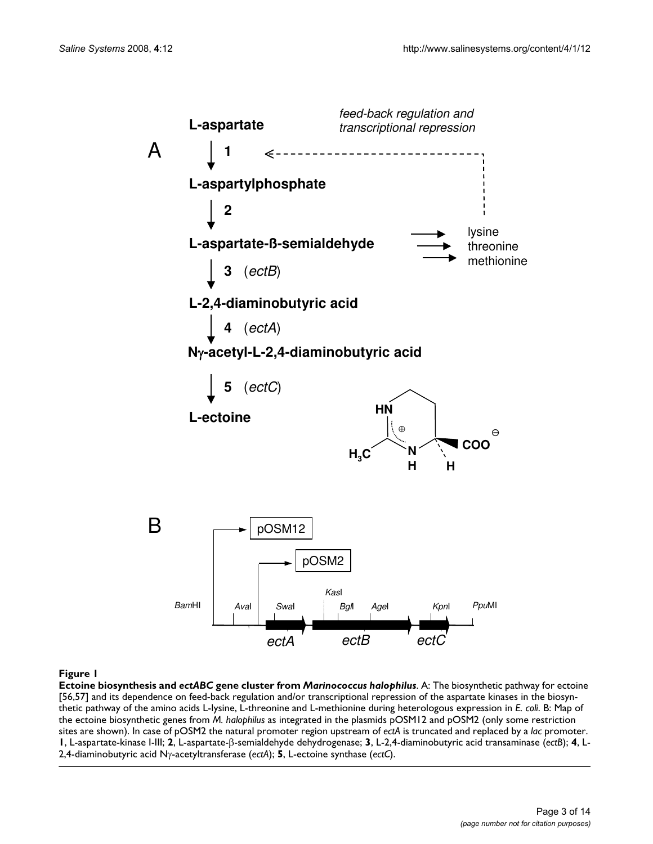

#### **Figure I**

**Ectoine biosynthesis and** *ectABC* **gene cluster from** *Marinococcus halophilus*. A: The biosynthetic pathway for ectoine [56,57] and its dependence on feed-back regulation and/or transcriptional repression of the aspartate kinases in the biosynthetic pathway of the amino acids L-lysine, L-threonine and L-methionine during heterologous expression in *E. coli*. B: Map of the ectoine biosynthetic genes from *M. halophilus* as integrated in the plasmids pOSM12 and pOSM2 (only some restriction sites are shown). In case of pOSM2 the natural promoter region upstream of *ectA* is truncated and replaced by a *lac* promoter. **1**, L-aspartate-kinase I-III; **2**, L-aspartate-β-semialdehyde dehydrogenase; **3**, L-2,4-diaminobutyric acid transaminase (*ectB*); **4**, L-2,4-diaminobutyric acid Nγ-acetyltransferase (*ectA*); **5**, L-ectoine synthase (*ectC*).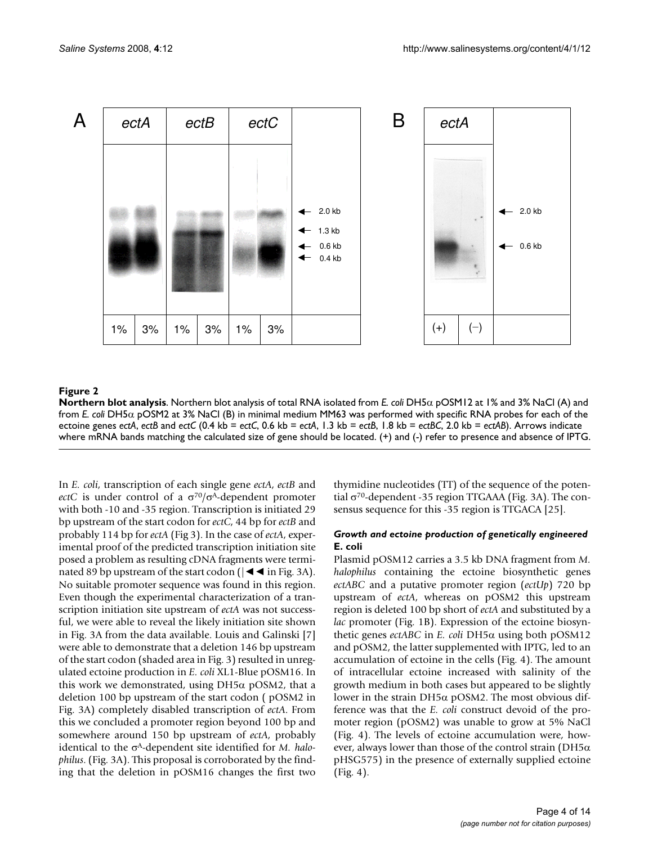

**Northern blot analysis**. Northern blot analysis of total RNA isolated from *E. coli* DH5α pOSM12 at 1% and 3% NaCl (A) and from *E. coli* DH5α pOSM2 at 3% NaCl (B) in minimal medium MM63 was performed with specific RNA probes for each of the ectoine genes *ectA*, *ectB* and *ectC* (0.4 kb = *ectC*, 0.6 kb = *ectA*, 1.3 kb = *ectB*, 1.8 kb = *ectBC*, 2.0 kb = *ectAB*). Arrows indicate where mRNA bands matching the calculated size of gene should be located. (+) and (-) refer to presence and absence of IPTG.

In *E. coli*, transcription of each single gene *ectA*, *ectB* and *ectC* is under control of a  $\sigma^{70}/\sigma^A$ -dependent promoter with both -10 and -35 region. Transcription is initiated 29 bp upstream of the start codon for *ectC*, 44 bp for *ectB* and probably 114 bp for *ectA* (Fig 3). In the case of *ectA*, experimental proof of the predicted transcription initiation site posed a problem as resulting cDNA fragments were terminated 89 bp upstream of the start codon ( $|\blacktriangleleft|$  in Fig. 3A). No suitable promoter sequence was found in this region. Even though the experimental characterization of a transcription initiation site upstream of *ectA* was not successful, we were able to reveal the likely initiation site shown in Fig. 3A from the data available. Louis and Galinski [7] were able to demonstrate that a deletion 146 bp upstream of the start codon (shaded area in Fig. 3) resulted in unregulated ectoine production in *E. coli* XL1-Blue pOSM16. In this work we demonstrated, using  $DH5\alpha$  pOSM2, that a deletion 100 bp upstream of the start codon ( pOSM2 in Fig. 3A) completely disabled transcription of *ectA*. From this we concluded a promoter region beyond 100 bp and somewhere around 150 bp upstream of *ectA*, probably identical to the σA-dependent site identified for *M. halophilus*. (Fig. 3A). This proposal is corroborated by the finding that the deletion in pOSM16 changes the first two thymidine nucleotides (TT) of the sequence of the potential σ70-dependent -35 region TTGAAA (Fig. 3A). The consensus sequence for this -35 region is TTGACA [25].

## *Growth and ectoine production of genetically engineered*  **E. coli**

Plasmid pOSM12 carries a 3.5 kb DNA fragment from *M. halophilus* containing the ectoine biosynthetic genes *ectABC* and a putative promoter region (*ectUp*) 720 bp upstream of *ectA*, whereas on pOSM2 this upstream region is deleted 100 bp short of *ectA* and substituted by a *lac* promoter (Fig. 1B). Expression of the ectoine biosynthetic genes *ectABC* in *E. coli* DH5α using both pOSM12 and pOSM2, the latter supplemented with IPTG, led to an accumulation of ectoine in the cells (Fig. 4). The amount of intracellular ectoine increased with salinity of the growth medium in both cases but appeared to be slightly lower in the strain DH5α pOSM2. The most obvious difference was that the *E. coli* construct devoid of the promoter region (pOSM2) was unable to grow at 5% NaCl (Fig. 4). The levels of ectoine accumulation were, however, always lower than those of the control strain (DH5 $\alpha$ ) pHSG575) in the presence of externally supplied ectoine (Fig. 4).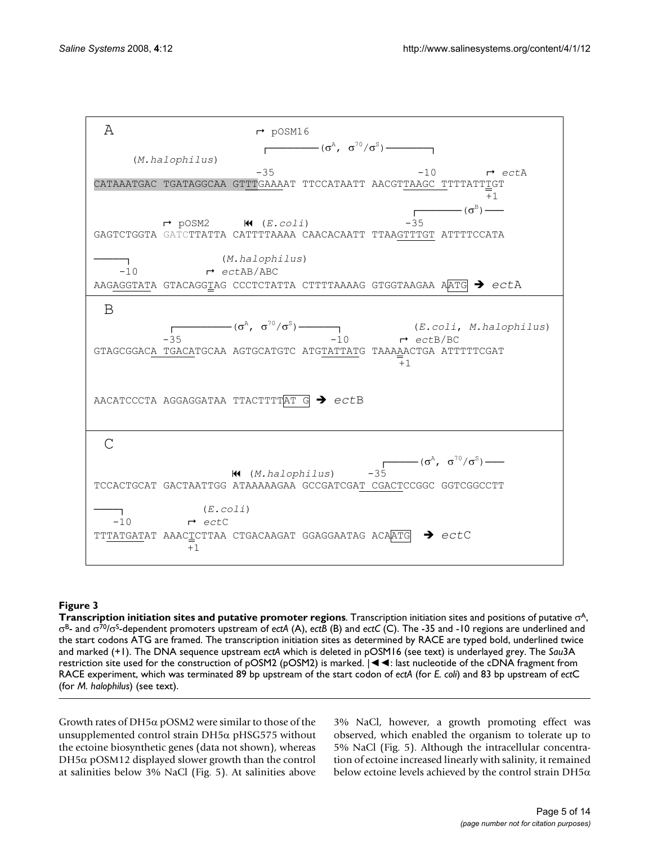

**Transcription initiation sites and putative promoter regions**. Transcription initiation sites and positions of putative σA, σB- and σ70/σS-dependent promoters upstream of *ectA* (A), *ectB* (B) and *ectC* (C). The -35 and -10 regions are underlined and the start codons ATG are framed. The transcription initiation sites as determined by RACE are typed bold, underlined twice and marked (+1). The DNA sequence upstream *ectA* which is deleted in pOSM16 (see text) is underlayed grey. The *Sau*3A restriction site used for the construction of  $pOSM2$  ( $pOSM2$ ) is marked.  $\blacktriangleright$  **4**: last nucleotide of the cDNA fragment from RACE experiment, which was terminated 89 bp upstream of the start codon of *ectA* (for *E. coli*) and 83 bp upstream of *ect*C (for *M. halophilus*) (see text).

Growth rates of DH5α pOSM2 were similar to those of the unsupplemented control strain DH5α pHSG575 without the ectoine biosynthetic genes (data not shown), whereas DH5α pOSM12 displayed slower growth than the control at salinities below 3% NaCl (Fig. 5). At salinities above 3% NaCl, however, a growth promoting effect was observed, which enabled the organism to tolerate up to 5% NaCl (Fig. 5). Although the intracellular concentration of ectoine increased linearly with salinity, it remained below ectoine levels achieved by the control strain DH5 $\alpha$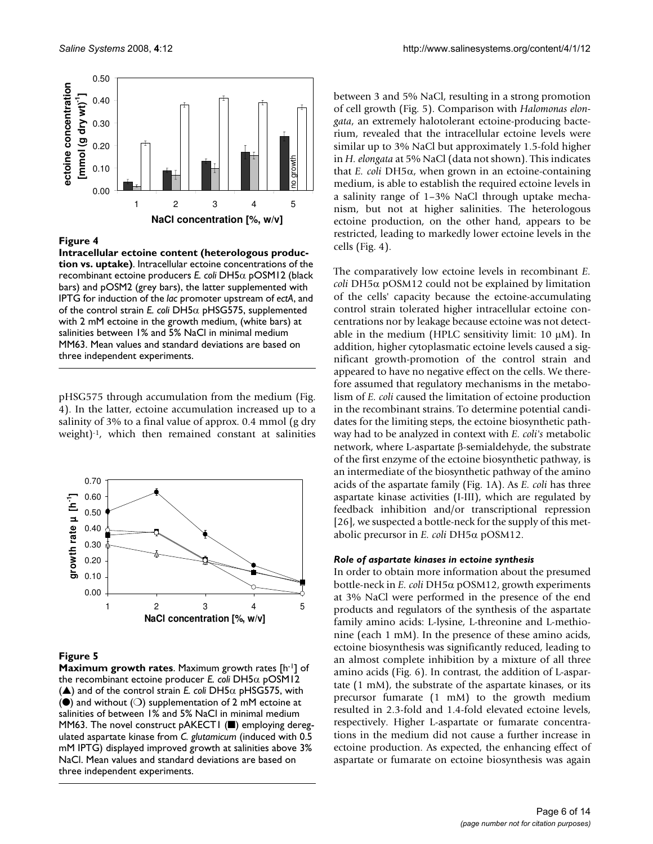

**Intracellular ectoine content (heterologous production vs. uptake)**. Intracellular ectoine concentrations of the recombinant ectoine producers *E. coli* DH5α pOSM12 (black bars) and pOSM2 (grey bars), the latter supplemented with IPTG for induction of the *lac* promoter upstream of *ectA*, and of the control strain *E. coli* DH5α pHSG575, supplemented with 2 mM ectoine in the growth medium, (white bars) at salinities between 1% and 5% NaCl in minimal medium MM63. Mean values and standard deviations are based on three independent experiments.

pHSG575 through accumulation from the medium (Fig. 4). In the latter, ectoine accumulation increased up to a salinity of 3% to a final value of approx. 0.4 mmol (g dry weight)-1, which then remained constant at salinities



#### **Figure 5**

**Maximum growth rates**. Maximum growth rates [h-1] of the recombinant ectoine producer *E. coli* DH5α pOSM12  $(\triangle)$  and of the control strain *E. coli* DH5 $\alpha$  pHSG575, with ( $\bullet$ ) and without ( $\circ$ ) supplementation of 2 mM ectoine at salinities of between 1% and 5% NaCl in minimal medium MM63. The novel construct pAKECT1 (■) employing deregulated aspartate kinase from *C. glutamicum* (induced with 0.5 mM IPTG) displayed improved growth at salinities above 3% NaCl. Mean values and standard deviations are based on three independent experiments.

between 3 and 5% NaCl, resulting in a strong promotion of cell growth (Fig. 5). Comparison with *Halomonas elongata*, an extremely halotolerant ectoine-producing bacterium, revealed that the intracellular ectoine levels were similar up to 3% NaCl but approximately 1.5-fold higher in *H. elongata* at 5% NaCl (data not shown). This indicates that *E. coli* DH5α, when grown in an ectoine-containing medium, is able to establish the required ectoine levels in a salinity range of 1–3% NaCl through uptake mechanism, but not at higher salinities. The heterologous ectoine production, on the other hand, appears to be restricted, leading to markedly lower ectoine levels in the cells (Fig. 4).

The comparatively low ectoine levels in recombinant *E. coli* DH5α pOSM12 could not be explained by limitation of the cells' capacity because the ectoine-accumulating control strain tolerated higher intracellular ectoine concentrations nor by leakage because ectoine was not detectable in the medium (HPLC sensitivity limit: 10 μM). In addition, higher cytoplasmatic ectoine levels caused a significant growth-promotion of the control strain and appeared to have no negative effect on the cells. We therefore assumed that regulatory mechanisms in the metabolism of *E. coli* caused the limitation of ectoine production in the recombinant strains. To determine potential candidates for the limiting steps, the ectoine biosynthetic pathway had to be analyzed in context with *E. coli's* metabolic network, where L-aspartate β-semialdehyde, the substrate of the first enzyme of the ectoine biosynthetic pathway, is an intermediate of the biosynthetic pathway of the amino acids of the aspartate family (Fig. 1A). As *E. coli* has three aspartate kinase activities (I-III), which are regulated by feedback inhibition and/or transcriptional repression [26], we suspected a bottle-neck for the supply of this metabolic precursor in *E. coli* DH5α pOSM12.

#### *Role of aspartate kinases in ectoine synthesis*

In order to obtain more information about the presumed bottle-neck in *E. coli* DH5α pOSM12, growth experiments at 3% NaCl were performed in the presence of the end products and regulators of the synthesis of the aspartate family amino acids: L-lysine, L-threonine and L-methionine (each 1 mM). In the presence of these amino acids, ectoine biosynthesis was significantly reduced, leading to an almost complete inhibition by a mixture of all three amino acids (Fig. 6). In contrast, the addition of L-aspartate (1 mM), the substrate of the aspartate kinases, or its precursor fumarate (1 mM) to the growth medium resulted in 2.3-fold and 1.4-fold elevated ectoine levels, respectively. Higher L-aspartate or fumarate concentrations in the medium did not cause a further increase in ectoine production. As expected, the enhancing effect of aspartate or fumarate on ectoine biosynthesis was again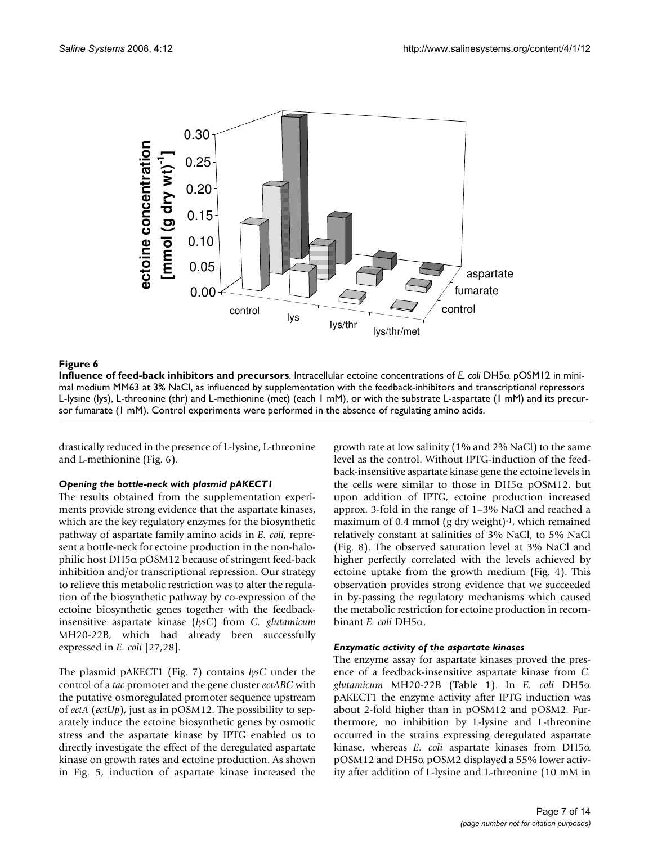

**Influence of feed-back inhibitors and precursors**. Intracellular ectoine concentrations of *E. coli* DH5α pOSM12 in minimal medium MM63 at 3% NaCl, as influenced by supplementation with the feedback-inhibitors and transcriptional repressors L-lysine (lys), L-threonine (thr) and L-methionine (met) (each 1 mM), or with the substrate L-aspartate (1 mM) and its precursor fumarate (1 mM). Control experiments were performed in the absence of regulating amino acids.

drastically reduced in the presence of L-lysine, L-threonine and L-methionine (Fig. 6).

#### *Opening the bottle-neck with plasmid pAKECT1*

The results obtained from the supplementation experiments provide strong evidence that the aspartate kinases, which are the key regulatory enzymes for the biosynthetic pathway of aspartate family amino acids in *E. coli*, represent a bottle-neck for ectoine production in the non-halophilic host DH5α pOSM12 because of stringent feed-back inhibition and/or transcriptional repression. Our strategy to relieve this metabolic restriction was to alter the regulation of the biosynthetic pathway by co-expression of the ectoine biosynthetic genes together with the feedbackinsensitive aspartate kinase (*lysC*) from *C. glutamicum* MH20-22B, which had already been successfully expressed in *E. coli* [27,28].

The plasmid pAKECT1 (Fig. 7) contains *lysC* under the control of a *tac* promoter and the gene cluster *ectABC* with the putative osmoregulated promoter sequence upstream of *ectA* (*ectUp*), just as in pOSM12. The possibility to separately induce the ectoine biosynthetic genes by osmotic stress and the aspartate kinase by IPTG enabled us to directly investigate the effect of the deregulated aspartate kinase on growth rates and ectoine production. As shown in Fig. 5, induction of aspartate kinase increased the growth rate at low salinity (1% and 2% NaCl) to the same level as the control. Without IPTG-induction of the feedback-insensitive aspartate kinase gene the ectoine levels in the cells were similar to those in  $DH5\alpha$  pOSM12, but upon addition of IPTG, ectoine production increased approx. 3-fold in the range of 1–3% NaCl and reached a maximum of 0.4 mmol (g dry weight)<sup>-1</sup>, which remained relatively constant at salinities of 3% NaCl, to 5% NaCl (Fig. 8). The observed saturation level at 3% NaCl and higher perfectly correlated with the levels achieved by ectoine uptake from the growth medium (Fig. 4). This observation provides strong evidence that we succeeded in by-passing the regulatory mechanisms which caused the metabolic restriction for ectoine production in recombinant *E. coli* DH5α.

## *Enzymatic activity of the aspartate kinases*

The enzyme assay for aspartate kinases proved the presence of a feedback-insensitive aspartate kinase from *C. glutamicum* MH20-22B (Table 1). In *E. coli* DH5α pAKECT1 the enzyme activity after IPTG induction was about 2-fold higher than in pOSM12 and pOSM2. Furthermore, no inhibition by L-lysine and L-threonine occurred in the strains expressing deregulated aspartate kinase, whereas *E. coli* aspartate kinases from DH5α pOSM12 and DH5α pOSM2 displayed a 55% lower activity after addition of L-lysine and L-threonine (10 mM in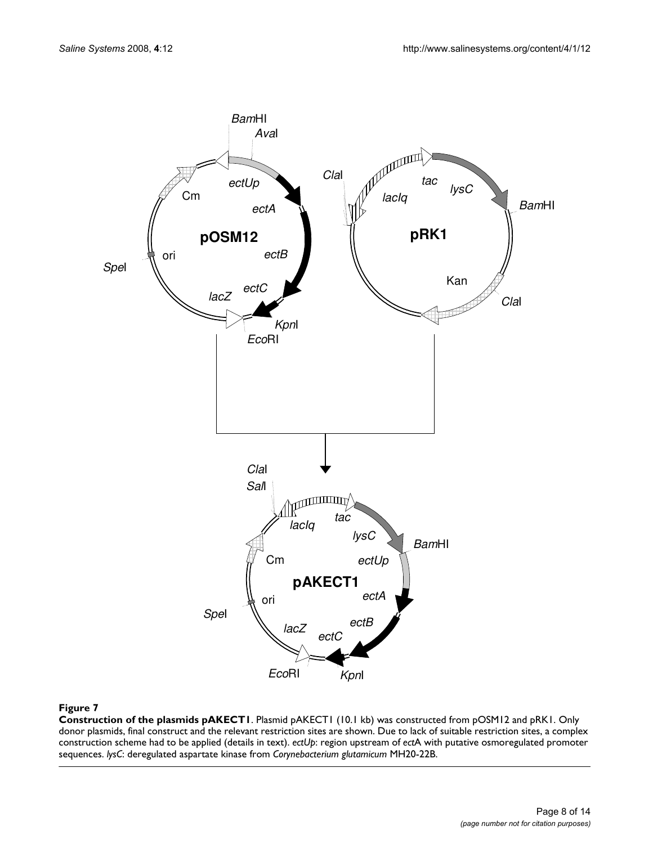

**Construction of the plasmids pAKECT1**. Plasmid pAKECT1 (10.1 kb) was constructed from pOSM12 and pRK1. Only donor plasmids, final construct and the relevant restriction sites are shown. Due to lack of suitable restriction sites, a complex construction scheme had to be applied (details in text). *ectUp*: region upstream of *ect*A with putative osmoregulated promoter sequences. *lysC*: deregulated aspartate kinase from *Corynebacterium glutamicum* MH20-22B.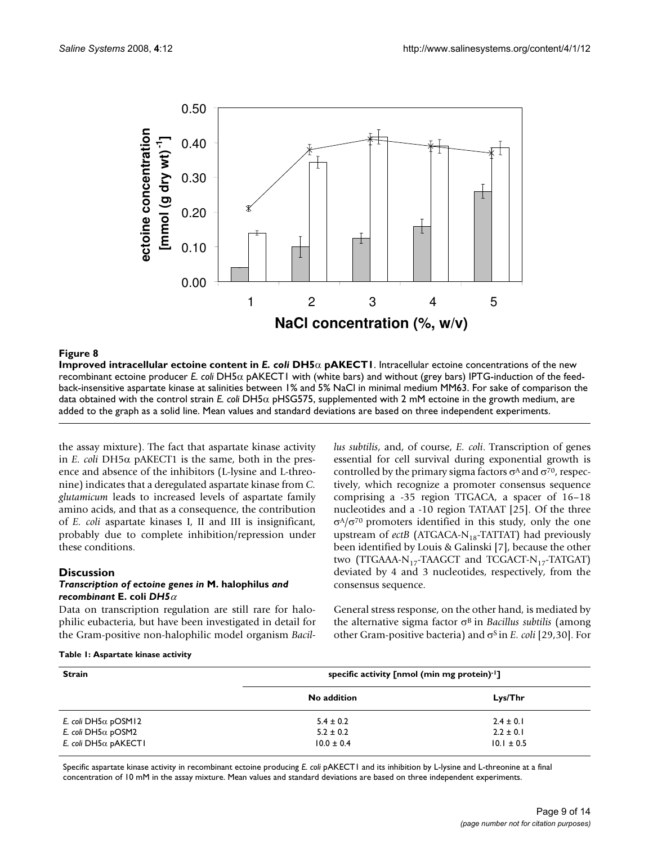

**Improved intracellular ectoine content in** *E. coli* **DH5**α **pAKECT1**. Intracellular ectoine concentrations of the new recombinant ectoine producer *E. coli* DH5α pAKECT1 with (white bars) and without (grey bars) IPTG-induction of the feedback-insensitive aspartate kinase at salinities between 1% and 5% NaCl in minimal medium MM63. For sake of comparison the data obtained with the control strain *E. coli* DH5α pHSG575, supplemented with 2 mM ectoine in the growth medium, are added to the graph as a solid line. Mean values and standard deviations are based on three independent experiments.

the assay mixture). The fact that aspartate kinase activity in *E. coli* DH5α pAKECT1 is the same, both in the presence and absence of the inhibitors (L-lysine and L-threonine) indicates that a deregulated aspartate kinase from *C. glutamicum* leads to increased levels of aspartate family amino acids, and that as a consequence, the contribution of *E. coli* aspartate kinases I, II and III is insignificant, probably due to complete inhibition/repression under these conditions.

## **Discussion**

#### *Transcription of ectoine genes in* **M. halophilus** *and recombinant* **E. coli** *DH5*<sup>α</sup>

Data on transcription regulation are still rare for halophilic eubacteria, but have been investigated in detail for the Gram-positive non-halophilic model organism *Bacil-* *lus subtilis*, and, of course, *E. coli*. Transcription of genes essential for cell survival during exponential growth is controlled by the primary sigma factors  $\sigma$ <sup>A</sup> and  $\sigma$ <sup>70</sup>, respectively, which recognize a promoter consensus sequence comprising a -35 region TTGACA, a spacer of 16–18 nucleotides and a -10 region TATAAT [25]. Of the three  $σ<sup>A</sup>/σ<sup>70</sup>$  promoters identified in this study, only the one upstream of *ectB* (ATGACA-N<sub>18</sub>-TATTAT) had previously been identified by Louis & Galinski [7], because the other two (TTGAAA- $N_{17}$ -TAAGCT and TCGACT- $N_{17}$ -TATGAT) deviated by 4 and 3 nucleotides, respectively, from the consensus sequence.

General stress response, on the other hand, is mediated by the alternative sigma factor σ<sup>B</sup> in *Bacillus subtilis* (among other Gram-positive bacteria) and σS in *E. coli* [29,30]. For

|  |  |  |  | Table 1: Aspartate kinase activity |
|--|--|--|--|------------------------------------|
|--|--|--|--|------------------------------------|

| <b>Strain</b>                | specific activity [nmol (min mg protein)-1] |                |  |
|------------------------------|---------------------------------------------|----------------|--|
|                              | No addition                                 | Lys/Thr        |  |
| E. coli DH5 $\alpha$ pOSM12  | $5.4 \pm 0.2$                               | $2.4 \pm 0.1$  |  |
| E. coli DH5 $\alpha$ pOSM2   | $5.2 \pm 0.2$                               | $2.2 \pm 0.1$  |  |
| E. coli DH5 $\alpha$ pAKECT1 | $10.0 \pm 0.4$                              | $10.1 \pm 0.5$ |  |

Specific aspartate kinase activity in recombinant ectoine producing *E. coli* pAKECT1 and its inhibition by L-lysine and L-threonine at a final concentration of 10 mM in the assay mixture. Mean values and standard deviations are based on three independent experiments.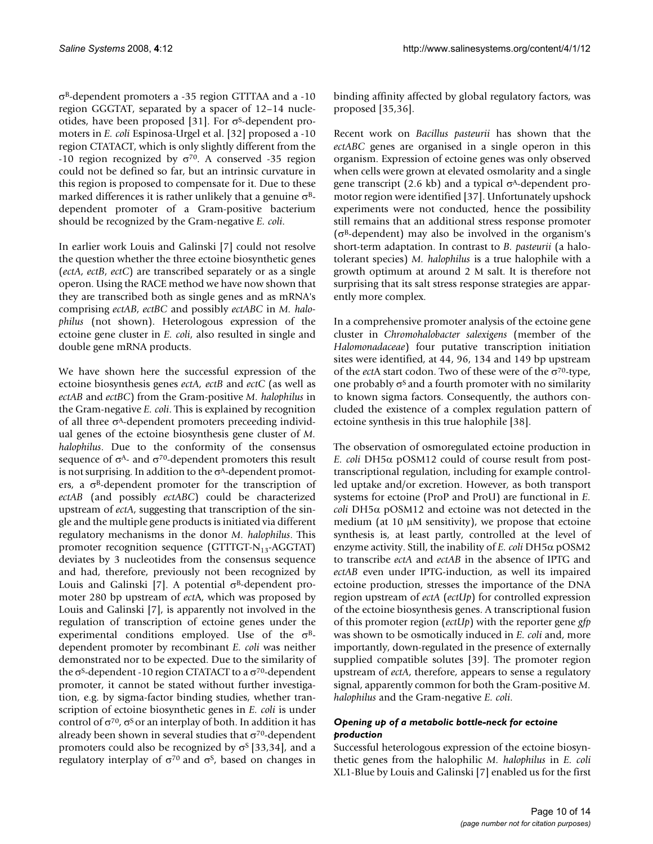σB-dependent promoters a -35 region GTTTAA and a -10 region GGGTAT, separated by a spacer of 12–14 nucleotides, have been proposed [31]. For  $\sigma$ <sup>S</sup>-dependent promoters in *E. coli* Espinosa-Urgel et al. [\[32](#page-13-1)] proposed a -10 region CTATACT, which is only slightly different from the -10 region recognized by  $\sigma^{70}$ . A conserved -35 region could not be defined so far, but an intrinsic curvature in this region is proposed to compensate for it. Due to these marked differences it is rather unlikely that a genuine  $\sigma^{B}$ dependent promoter of a Gram-positive bacterium should be recognized by the Gram-negative *E. coli*.

In earlier work Louis and Galinski [7] could not resolve the question whether the three ectoine biosynthetic genes (*ectA*, *ectB*, *ectC*) are transcribed separately or as a single operon. Using the RACE method we have now shown that they are transcribed both as single genes and as mRNA's comprising *ectAB*, *ectBC* and possibly *ectABC* in *M. halophilus* (not shown). Heterologous expression of the ectoine gene cluster in *E. coli*, also resulted in single and double gene mRNA products.

We have shown here the successful expression of the ectoine biosynthesis genes *ectA, ectB* and *ectC* (as well as *ectAB* and *ectBC*) from the Gram-positive *M. halophilus* in the Gram-negative *E. coli*. This is explained by recognition of all three  $\sigma$ <sup>A</sup>-dependent promoters preceeding individual genes of the ectoine biosynthesis gene cluster of *M. halophilus*. Due to the conformity of the consensus sequence of  $\sigma^{A}$ - and  $\sigma^{70}$ -dependent promoters this result is not surprising. In addition to the  $\sigma$ <sup>A</sup>-dependent promoters, a  $\sigma^B$ -dependent promoter for the transcription of *ectAB* (and possibly *ectABC*) could be characterized upstream of *ectA*, suggesting that transcription of the single and the multiple gene products is initiated via different regulatory mechanisms in the donor *M. halophilus*. This promoter recognition sequence (GTTTGT- $N_{13}$ -AGGTAT) deviates by 3 nucleotides from the consensus sequence and had, therefore, previously not been recognized by Louis and Galinski [7]. A potential  $σ<sup>B</sup>$ -dependent promoter 280 bp upstream of *ect*A, which was proposed by Louis and Galinski [7], is apparently not involved in the regulation of transcription of ectoine genes under the experimental conditions employed. Use of the  $\sigma^{B}$ dependent promoter by recombinant *E. coli* was neither demonstrated nor to be expected. Due to the similarity of the  $\sigma$ <sup>S</sup>-dependent -10 region CTATACT to a  $\sigma$ <sup>70</sup>-dependent promoter, it cannot be stated without further investigation, e.g. by sigma-factor binding studies, whether transcription of ectoine biosynthetic genes in *E. coli* is under control of  $\sigma^{70}$ ,  $\sigma^5$  or an interplay of both. In addition it has already been shown in several studies that  $\sigma^{70}$ -dependent promoters could also be recognized by  $\sigma$ <sup>S</sup> [[33,](#page-13-2)34], and a regulatory interplay of  $\sigma^{70}$  and  $\sigma^{5}$ , based on changes in binding affinity affected by global regulatory factors, was proposed [35[,36\]](#page-13-3).

Recent work on *Bacillus pasteurii* has shown that the *ectABC* genes are organised in a single operon in this organism. Expression of ectoine genes was only observed when cells were grown at elevated osmolarity and a single gene transcript (2.6 kb) and a typical  $σ^A$ -dependent promotor region were identified [37]. Unfortunately upshock experiments were not conducted, hence the possibility still remains that an additional stress response promoter ( $\sigma$ <sup>B</sup>-dependent) may also be involved in the organism's short-term adaptation. In contrast to *B. pasteurii* (a halotolerant species) *M. halophilus* is a true halophile with a growth optimum at around 2 M salt. It is therefore not surprising that its salt stress response strategies are apparently more complex.

In a comprehensive promoter analysis of the ectoine gene cluster in *Chromohalobacter salexigens* (member of the *Halomonadaceae*) four putative transcription initiation sites were identified, at 44, 96, 134 and 149 bp upstream of the *ect*A start codon. Two of these were of the σ70-type, one probably  $\sigma$ <sup>S</sup> and a fourth promoter with no similarity to known sigma factors. Consequently, the authors concluded the existence of a complex regulation pattern of ectoine synthesis in this true halophile [38].

The observation of osmoregulated ectoine production in *E. coli* DH5α pOSM12 could of course result from posttranscriptional regulation, including for example controlled uptake and/or excretion. However, as both transport systems for ectoine (ProP and ProU) are functional in *E. coli* DH5α pOSM12 and ectoine was not detected in the medium (at 10 μM sensitivity), we propose that ectoine synthesis is, at least partly, controlled at the level of enzyme activity. Still, the inability of *E. coli* DH5α pOSM2 to transcribe *ectA* and *ectAB* in the absence of IPTG and *ectAB* even under IPTG-induction, as well its impaired ectoine production, stresses the importance of the DNA region upstream of *ectA* (*ectUp*) for controlled expression of the ectoine biosynthesis genes. A transcriptional fusion of this promoter region (*ectUp*) with the reporter gene *gfp* was shown to be osmotically induced in *E. coli* and, more importantly, down-regulated in the presence of externally supplied compatible solutes [\[39](#page-13-4)]. The promoter region upstream of *ectA*, therefore, appears to sense a regulatory signal, apparently common for both the Gram-positive *M. halophilus* and the Gram-negative *E. coli*.

## *Opening up of a metabolic bottle-neck for ectoine production*

Successful heterologous expression of the ectoine biosynthetic genes from the halophilic *M. halophilus* in *E. coli* XL1-Blue by Louis and Galinski [7] enabled us for the first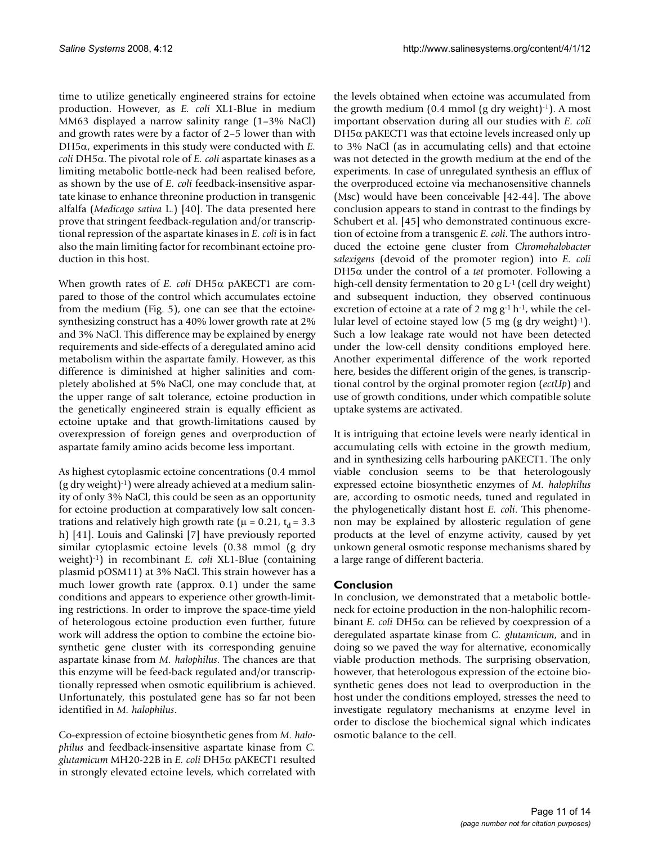time to utilize genetically engineered strains for ectoine production. However, as *E. coli* XL1-Blue in medium MM63 displayed a narrow salinity range (1–3% NaCl) and growth rates were by a factor of 2–5 lower than with DH5α, experiments in this study were conducted with *E. coli* DH5α. The pivotal role of *E. coli* aspartate kinases as a limiting metabolic bottle-neck had been realised before, as shown by the use of *E. coli* feedback-insensitive aspartate kinase to enhance threonine production in transgenic alfalfa (*Medicago sativa* L.) [\[40](#page-13-5)]. The data presented here prove that stringent feedback-regulation and/or transcriptional repression of the aspartate kinases in *E. coli* is in fact also the main limiting factor for recombinant ectoine production in this host.

When growth rates of *E. coli* DH5α pAKECT1 are compared to those of the control which accumulates ectoine from the medium (Fig. 5), one can see that the ectoinesynthesizing construct has a 40% lower growth rate at 2% and 3% NaCl. This difference may be explained by energy requirements and side-effects of a deregulated amino acid metabolism within the aspartate family. However, as this difference is diminished at higher salinities and completely abolished at 5% NaCl, one may conclude that, at the upper range of salt tolerance, ectoine production in the genetically engineered strain is equally efficient as ectoine uptake and that growth-limitations caused by overexpression of foreign genes and overproduction of aspartate family amino acids become less important.

As highest cytoplasmic ectoine concentrations (0.4 mmol  $(g$  dry weight)<sup>-1</sup>) were already achieved at a medium salinity of only 3% NaCl, this could be seen as an opportunity for ectoine production at comparatively low salt concentrations and relatively high growth rate ( $\mu$  = 0.21, t<sub>d</sub> = 3.3 h) [41]. Louis and Galinski [7] have previously reported similar cytoplasmic ectoine levels (0.38 mmol (g dry weight)-1) in recombinant *E. coli* XL1-Blue (containing plasmid pOSM11) at 3% NaCl. This strain however has a much lower growth rate (approx. 0.1) under the same conditions and appears to experience other growth-limiting restrictions. In order to improve the space-time yield of heterologous ectoine production even further, future work will address the option to combine the ectoine biosynthetic gene cluster with its corresponding genuine aspartate kinase from *M. halophilus*. The chances are that this enzyme will be feed-back regulated and/or transcriptionally repressed when osmotic equilibrium is achieved. Unfortunately, this postulated gene has so far not been identified in *M. halophilus*.

Co-expression of ectoine biosynthetic genes from *M. halophilus* and feedback-insensitive aspartate kinase from *C. glutamicum* MH20-22B in *E. coli* DH5α pAKECT1 resulted in strongly elevated ectoine levels, which correlated with

the levels obtained when ectoine was accumulated from the growth medium  $(0.4 \text{ mmol (g dry weight})^{-1})$ . A most important observation during all our studies with *E. coli* DH5 $α$  pAKECT1 was that ectoine levels increased only up to 3% NaCl (as in accumulating cells) and that ectoine was not detected in the growth medium at the end of the experiments. In case of unregulated synthesis an efflux of the overproduced ectoine via mechanosensitive channels (Msc) would have been conceivable [42-44]. The above conclusion appears to stand in contrast to the findings by Schubert et al. [45] who demonstrated continuous excretion of ectoine from a transgenic *E. coli*. The authors introduced the ectoine gene cluster from *Chromohalobacter salexigens* (devoid of the promoter region) into *E. coli* DH5α under the control of a *tet* promoter. Following a high-cell density fermentation to 20 g  $L<sup>1</sup>$  (cell dry weight) and subsequent induction, they observed continuous excretion of ectoine at a rate of 2 mg  $g^{-1}$  h<sup>-1</sup>, while the cellular level of ectoine stayed low  $(5 \text{ mg } (g \text{ dry weight})^{-1})$ . Such a low leakage rate would not have been detected under the low-cell density conditions employed here. Another experimental difference of the work reported here, besides the different origin of the genes, is transcriptional control by the orginal promoter region (*ectUp*) and use of growth conditions, under which compatible solute uptake systems are activated.

It is intriguing that ectoine levels were nearly identical in accumulating cells with ectoine in the growth medium, and in synthesizing cells harbouring pAKECT1. The only viable conclusion seems to be that heterologously expressed ectoine biosynthetic enzymes of *M. halophilus* are, according to osmotic needs, tuned and regulated in the phylogenetically distant host *E. coli*. This phenomenon may be explained by allosteric regulation of gene products at the level of enzyme activity, caused by yet unkown general osmotic response mechanisms shared by a large range of different bacteria.

#### **Conclusion**

In conclusion, we demonstrated that a metabolic bottleneck for ectoine production in the non-halophilic recombinant *E. coli* DH5α can be relieved by coexpression of a deregulated aspartate kinase from *C. glutamicum*, and in doing so we paved the way for alternative, economically viable production methods. The surprising observation, however, that heterologous expression of the ectoine biosynthetic genes does not lead to overproduction in the host under the conditions employed, stresses the need to investigate regulatory mechanisms at enzyme level in order to disclose the biochemical signal which indicates osmotic balance to the cell.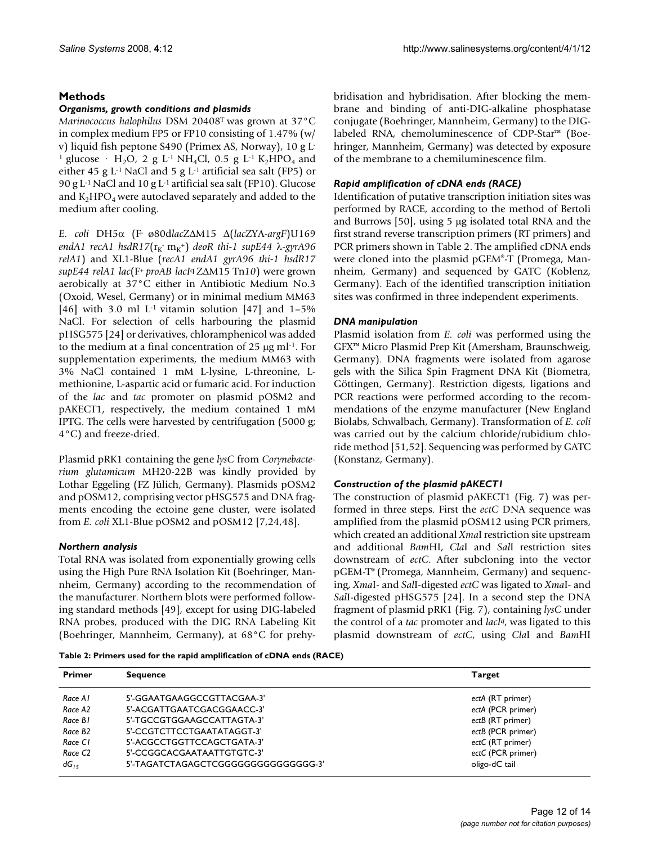## **Methods**

## *Organisms, growth conditions and plasmids*

*Marinococcus halophilus* DSM 20408T was grown at 37°C in complex medium FP5 or FP10 consisting of 1.47% (w/ v) liquid fish peptone S490 (Primex AS, Norway), 10 g L-<sup>1</sup> glucose · H<sub>2</sub>O, 2 g L<sup>-1</sup> NH<sub>4</sub>Cl, 0.5 g L<sup>-1</sup> K<sub>2</sub>HPO<sub>4</sub> and either 45 g L-1 NaCl and 5 g L-1 artificial sea salt (FP5) or 90 g L-1 NaCl and 10 g L-1 artificial sea salt (FP10). Glucose and  $K_2HPO_4$  were autoclaved separately and added to the medium after cooling.

*E. coli* DH5α (F- ø80d*lac*ZΔM15 Δ(*lac*ZYA-*argF*)U169 endA1 recA1 hsdR17(r<sub>K</sub>·m<sub>K</sub>+) deoR thi-1 supE44 λ-gyrA96 *relA1*) and XL1-Blue (*recA1 endA1 gyrA96 thi-1 hsdR17 supE44 relA1 lac*(F+ *proAB lacI*q ZΔM15 Tn*10*) were grown aerobically at 37°C either in Antibiotic Medium No.3 (Oxoid, Wesel, Germany) or in minimal medium MM63 [[46](#page-13-6)] with 3.0 ml  $L$ <sup>1</sup> vitamin solution [47] and  $1-5\%$ NaCl. For selection of cells harbouring the plasmid pHSG575 [\[24\]](#page-13-0) or derivatives, chloramphenicol was added to the medium at a final concentration of 25 μg ml-1. For supplementation experiments, the medium MM63 with 3% NaCl contained 1 mM L-lysine, L-threonine, Lmethionine, L-aspartic acid or fumaric acid. For induction of the *lac* and *tac* promoter on plasmid pOSM2 and pAKECT1, respectively, the medium contained 1 mM IPTG. The cells were harvested by centrifugation (5000 g; 4°C) and freeze-dried.

Plasmid pRK1 containing the gene *lysC* from *Corynebacterium glutamicum* MH20-22B was kindly provided by Lothar Eggeling (FZ Jülich, Germany). Plasmids pOSM2 and pOSM12, comprising vector pHSG575 and DNA fragments encoding the ectoine gene cluster, were isolated from *E. coli* XL1-Blue pOSM2 and pOSM12 [7[,24](#page-13-0),48].

## *Northern analysis*

Total RNA was isolated from exponentially growing cells using the High Pure RNA Isolation Kit (Boehringer, Mannheim, Germany) according to the recommendation of the manufacturer. Northern blots were performed following standard methods [49], except for using DIG-labeled RNA probes, produced with the DIG RNA Labeling Kit (Boehringer, Mannheim, Germany), at 68°C for prehybridisation and hybridisation. After blocking the membrane and binding of anti-DIG-alkaline phosphatase conjugate (Boehringer, Mannheim, Germany) to the DIGlabeled RNA, chemoluminescence of CDP-Star™ (Boehringer, Mannheim, Germany) was detected by exposure of the membrane to a chemiluminescence film.

## *Rapid amplification of cDNA ends (RACE)*

Identification of putative transcription initiation sites was performed by RACE, according to the method of Bertoli and Burrows [50], using 5 μg isolated total RNA and the first strand reverse transcription primers (RT primers) and PCR primers shown in Table 2. The amplified cDNA ends were cloned into the plasmid pGEM®-T (Promega, Mannheim, Germany) and sequenced by GATC (Koblenz, Germany). Each of the identified transcription initiation sites was confirmed in three independent experiments.

## *DNA manipulation*

Plasmid isolation from *E. coli* was performed using the GFX™ Micro Plasmid Prep Kit (Amersham, Braunschweig, Germany). DNA fragments were isolated from agarose gels with the Silica Spin Fragment DNA Kit (Biometra, Göttingen, Germany). Restriction digests, ligations and PCR reactions were performed according to the recommendations of the enzyme manufacturer (New England Biolabs, Schwalbach, Germany). Transformation of *E. coli* was carried out by the calcium chloride/rubidium chloride method [\[51,](#page-13-7)52]. Sequencing was performed by GATC (Konstanz, Germany).

## *Construction of the plasmid pAKECT1*

The construction of plasmid pAKECT1 (Fig. 7) was performed in three steps. First the *ectC* DNA sequence was amplified from the plasmid pOSM12 using PCR primers, which created an additional *Xma*I restriction site upstream and additional *Bam*HI, *Cla*I and *Sal*I restriction sites downstream of *ectC*. After subcloning into the vector pGEM-T® (Promega, Mannheim, Germany) and sequencing, *Xma*I- and *Sal*I-digested *ectC* was ligated to *Xma*I- and *Sal*I-digested pHSG575 [\[24\]](#page-13-0). In a second step the DNA fragment of plasmid pRK1 (Fig. 7), containing *lysC* under the control of a *tac* promoter and *lacIq*, was ligated to this plasmid downstream of *ectC*, using *Cla*I and *Bam*HI

**Table 2: Primers used for the rapid amplification of cDNA ends (RACE)**

| <b>Primer</b>       | <b>Sequence</b>                        | <b>Target</b>     |
|---------------------|----------------------------------------|-------------------|
| Race A1             | 5'-GGAATGAAGGCCGTTACGAA-3'             | ectA (RT primer)  |
| Race A2             | 5'-ACGATTGAATCGACGGAACC-3'             | ectA (PCR primer) |
| Race B1             | 5'-TGCCGTGGAAGCCATTAGTA-3'             | ectB (RT primer)  |
| Race B <sub>2</sub> | 5'-CCGTCTTCCTGAATATAGGT-3'             | ectB (PCR primer) |
| Race CI             | 5'-ACGCCTGGTTCCAGCTGATA-3'             | ectC (RT primer)  |
| Race C <sub>2</sub> | 5'-CCGGCACGAATAATTGTGTC-3'             | ectC (PCR primer) |
| $dG_{15}$           | 5'-TAGATCTAGAGCTCGGGGGGGGGGGGGGGG - 3' | oligo-dC tail     |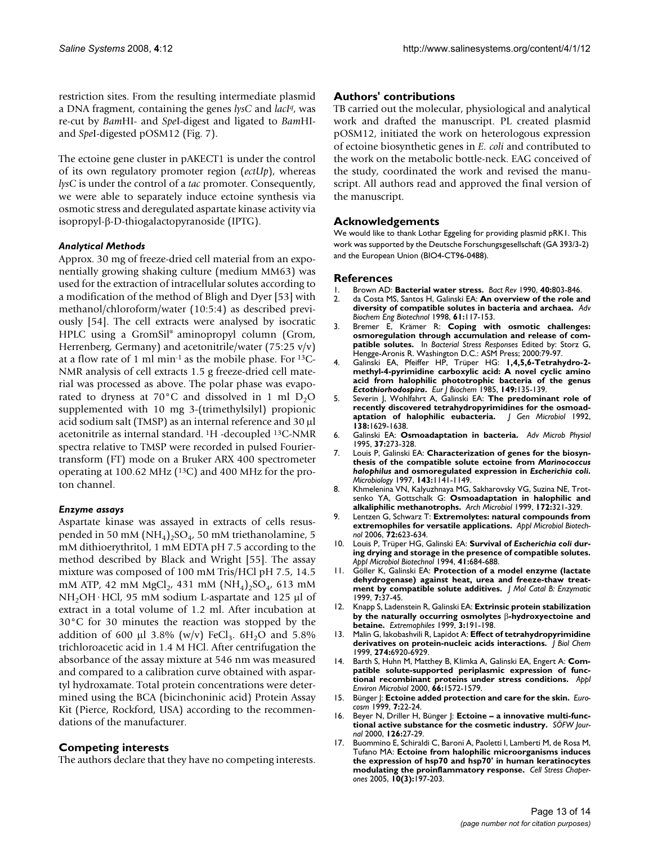restriction sites. From the resulting intermediate plasmid a DNA fragment, containing the genes *lysC* and *lacIq*, was re-cut by *Bam*HI- and *Spe*I-digest and ligated to *Bam*HIand *Spe*I-digested pOSM12 (Fig. 7).

The ectoine gene cluster in pAKECT1 is under the control of its own regulatory promoter region (*ectUp*), whereas *lysC* is under the control of a *tac* promoter. Consequently, we were able to separately induce ectoine synthesis via osmotic stress and deregulated aspartate kinase activity via isopropyl-β-D-thiogalactopyranoside (IPTG).

#### *Analytical Methods*

Approx. 30 mg of freeze-dried cell material from an exponentially growing shaking culture (medium MM63) was used for the extraction of intracellular solutes according to a modification of the method of Bligh and Dyer [53] with methanol/chloroform/water (10:5:4) as described previously [54]. The cell extracts were analysed by isocratic HPLC using a GromSil® aminopropyl column (Grom, Herrenberg, Germany) and acetonitrile/water (75:25 v/v) at a flow rate of 1 ml min-1 as the mobile phase. For 13C-NMR analysis of cell extracts 1.5 g freeze-dried cell material was processed as above. The polar phase was evaporated to dryness at 70 $^{\circ}$ C and dissolved in 1 ml D<sub>2</sub>O supplemented with 10 mg 3-(trimethylsilyl) propionic acid sodium salt (TMSP) as an internal reference and 30 μl acetonitrile as internal standard. 1H -decoupled 13C-NMR spectra relative to TMSP were recorded in pulsed Fouriertransform (FT) mode on a Bruker ARX 400 spectrometer operating at 100.62 MHz (13C) and 400 MHz for the proton channel.

#### *Enzyme assays*

Aspartate kinase was assayed in extracts of cells resuspended in 50 mM  $(NH_4)_2SO_4$ , 50 mM triethanolamine, 5 mM dithioerythritol, 1 mM EDTA pH 7.5 according to the method described by Black and Wright [55]. The assay mixture was composed of 100 mM Tris/HCl pH 7.5, 14.5 mM ATP, 42 mM  $MgCl_2$ , 431 mM  $(NH_4)_2SO_4$ , 613 mM NH<sub>2</sub>OH·HCl, 95 mM sodium L-aspartate and 125 μl of extract in a total volume of 1.2 ml. After incubation at 30°C for 30 minutes the reaction was stopped by the addition of 600 μl 3.8% (w/v) FeCl<sub>3</sub>.  $6H_2O$  and 5.8% trichloroacetic acid in 1.4 M HCl. After centrifugation the absorbance of the assay mixture at 546 nm was measured and compared to a calibration curve obtained with aspartyl hydroxamate. Total protein concentrations were determined using the BCA (bicinchoninic acid) Protein Assay Kit (Pierce, Rockford, USA) according to the recommendations of the manufacturer.

## **Competing interests**

The authors declare that they have no competing interests.

## **Authors' contributions**

TB carried out the molecular, physiological and analytical work and drafted the manuscript. PL created plasmid pOSM12, initiated the work on heterologous expression of ectoine biosynthetic genes in *E. coli* and contributed to the work on the metabolic bottle-neck. EAG conceived of the study, coordinated the work and revised the manuscript. All authors read and approved the final version of the manuscript.

## **Acknowledgements**

We would like to thank Lothar Eggeling for providing plasmid pRK1. This work was supported by the Deutsche Forschungsgesellschaft (GA 393/3-2) and the European Union (BIO4-CT96-0488).

#### **References**

- 1. Brown AD: **Bacterial water stress.** *Bact Rev* 1990, **40:**803-846. 2. da Costa MS, Santos H, Galinski EA: **[An overview of the role and](http://www.ncbi.nlm.nih.gov/entrez/query.fcgi?cmd=Retrieve&db=PubMed&dopt=Abstract&list_uids=9670799) [diversity of compatible solutes in bacteria and archaea.](http://www.ncbi.nlm.nih.gov/entrez/query.fcgi?cmd=Retrieve&db=PubMed&dopt=Abstract&list_uids=9670799)** *Adv Biochem Eng Biotechnol* 1998, **61:**117-153.
- 3. Bremer E, Krämer R: **Coping with osmotic challenges: osmoregulation through accumulation and release of compatible solutes.** In *Bacterial Stress Responses* Edited by: Storz G, Hengge-Aronis R. Washington D.C.: ASM Press; 2000:79-97.
- 4. Galinski EA, Pfeiffer HP, Trüper HG: **1,4,5,6-Tetrahydro-2 methyl-4-pyrimidine carboxylic acid: A novel cyclic amino acid from halophilic phototrophic bacteria of the genus** *Ectothiorhodospira***[.](http://www.ncbi.nlm.nih.gov/entrez/query.fcgi?cmd=Retrieve&db=PubMed&dopt=Abstract&list_uids=3838936)** *Eur J Biochem* 1985, **149:**135-139.
- 5. Severin J, Wohlfahrt A, Galinski EA: **The predominant role of recently discovered tetrahydropyrimidines for the osmoadaptation of halophilic eubacteria.** *J Gen Microbiol* 1992, **138:**1629-1638.
- 6. Galinski EA: **Osmoadaptation in bacteria.** *Adv Microb Physiol* 1995, **37:**273-328.
- 7. Louis P, Galinski EA: **Characterization of genes for the biosynthesis of the compatible solute ectoine from** *Marinococcus halophilus* **and osmoregulated expression in** *Escherichia coli***[.](http://www.ncbi.nlm.nih.gov/entrez/query.fcgi?cmd=Retrieve&db=PubMed&dopt=Abstract&list_uids=9141677)** *Microbiology* 1997, **143:**1141-1149.
- 8. Khmelenina VN, Kalyuzhnaya MG, Sakharovsky VG, Suzina NE, Trotsenko YA, Gottschalk G: **[Osmoadaptation in halophilic and](http://www.ncbi.nlm.nih.gov/entrez/query.fcgi?cmd=Retrieve&db=PubMed&dopt=Abstract&list_uids=10550474) [alkaliphilic methanotrophs.](http://www.ncbi.nlm.nih.gov/entrez/query.fcgi?cmd=Retrieve&db=PubMed&dopt=Abstract&list_uids=10550474)** *Arch Microbiol* 1999, **172:**321-329.
- 9. Lentzen G, Schwarz T: **[Extremolytes: natural compounds from](http://www.ncbi.nlm.nih.gov/entrez/query.fcgi?cmd=Retrieve&db=PubMed&dopt=Abstract&list_uids=16957893) [extremophiles for versatile applications.](http://www.ncbi.nlm.nih.gov/entrez/query.fcgi?cmd=Retrieve&db=PubMed&dopt=Abstract&list_uids=16957893)** *Appl Microbiol Biotechnol* 2006, **72:**623-634.
- 10. Louis P, Trüper HG, Galinski EA: **Survival of** *Escherichia coli* **during drying and storage in the presence of compatible solutes.** *Appl Microbiol Biotechnol* 1994, **41:**684-688.
- 11. Göller K, Galinski EA: **Protection of a model enzyme (lactate dehydrogenase) against heat, urea and freeze-thaw treatment by compatible solute additives.** *J Mol Catal B: Enzymatic* 1999, **7:**37-45.
- 12. Knapp S, Ladenstein R, Galinski EA: **Extrinsic protein stabilization by the naturally occurring osmolytes** β**[-hydroxyectoine and](http://www.ncbi.nlm.nih.gov/entrez/query.fcgi?cmd=Retrieve&db=PubMed&dopt=Abstract&list_uids=10484175) [betaine.](http://www.ncbi.nlm.nih.gov/entrez/query.fcgi?cmd=Retrieve&db=PubMed&dopt=Abstract&list_uids=10484175)** *Extremophiles* 1999, **3:**191-198.
- 13. Malin G, Iakobashvili R, Lapidot A: **[Effect of tetrahydropyrimidine](http://www.ncbi.nlm.nih.gov/entrez/query.fcgi?cmd=Retrieve&db=PubMed&dopt=Abstract&list_uids=10066745) [derivatives on protein-nucleic acids interactions.](http://www.ncbi.nlm.nih.gov/entrez/query.fcgi?cmd=Retrieve&db=PubMed&dopt=Abstract&list_uids=10066745)** *J Biol Chem* 1999, **274:**6920-6929.
- 14. Barth S, Huhn M, Matthey B, Klimka A, Galinski EA, Engert A: **[Com](http://www.ncbi.nlm.nih.gov/entrez/query.fcgi?cmd=Retrieve&db=PubMed&dopt=Abstract&list_uids=10742244)[patible solute-supported periplasmic expression of func](http://www.ncbi.nlm.nih.gov/entrez/query.fcgi?cmd=Retrieve&db=PubMed&dopt=Abstract&list_uids=10742244)[tional recombinant proteins under stress conditions.](http://www.ncbi.nlm.nih.gov/entrez/query.fcgi?cmd=Retrieve&db=PubMed&dopt=Abstract&list_uids=10742244)** *Appl Environ Microbiol* 2000, **66:**1572-1579.
- 15. Bünger |: Ectoine added protection and care for the skin. *Eurocosm* 1999, **7:**22-24.
- 16. Beyer N, Driller H, Bünger J: **Ectoine a innovative multi-functional active substance for the cosmetic industry.** *SÖFW Journal* 2000, **126:**27-29.
- 17. Buommino E, Schiraldi C, Baroni A, Paoletti I, Lamberti M, de Rosa M, Tufano MA: **[Ectoine from halophilic microorganisms induces](http://www.ncbi.nlm.nih.gov/entrez/query.fcgi?cmd=Retrieve&db=PubMed&dopt=Abstract&list_uids=16184764) [the expression of hsp70 and hsp70' in human keratinocytes](http://www.ncbi.nlm.nih.gov/entrez/query.fcgi?cmd=Retrieve&db=PubMed&dopt=Abstract&list_uids=16184764) [modulating the proinflammatory response.](http://www.ncbi.nlm.nih.gov/entrez/query.fcgi?cmd=Retrieve&db=PubMed&dopt=Abstract&list_uids=16184764)** *Cell Stress Chaperones* 2005, **10(3):**197-203.